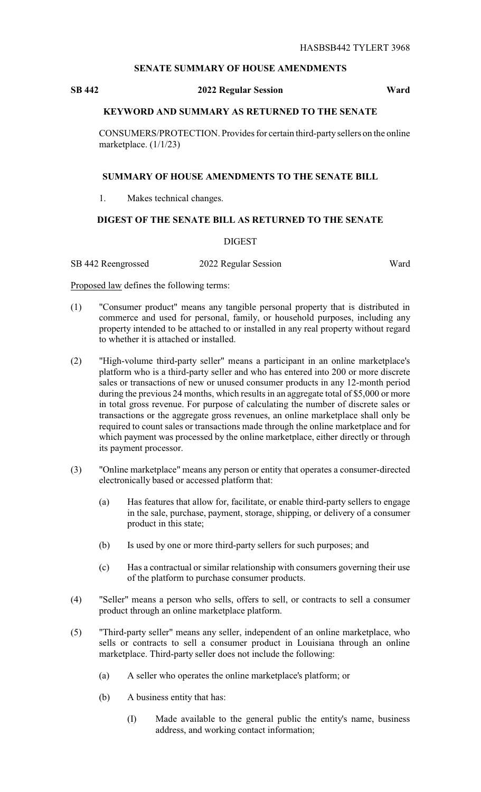# **SENATE SUMMARY OF HOUSE AMENDMENTS**

# **SB 442 2022 Regular Session Ward**

## **KEYWORD AND SUMMARY AS RETURNED TO THE SENATE**

CONSUMERS/PROTECTION. Provides for certain third-partysellers on the online marketplace. (1/1/23)

#### **SUMMARY OF HOUSE AMENDMENTS TO THE SENATE BILL**

1. Makes technical changes.

# **DIGEST OF THE SENATE BILL AS RETURNED TO THE SENATE**

# DIGEST

SB 442 Reengrossed 2022 Regular Session Ward

Proposed law defines the following terms:

- (1) "Consumer product" means any tangible personal property that is distributed in commerce and used for personal, family, or household purposes, including any property intended to be attached to or installed in any real property without regard to whether it is attached or installed.
- (2) "High-volume third-party seller" means a participant in an online marketplace's platform who is a third-party seller and who has entered into 200 or more discrete sales or transactions of new or unused consumer products in any 12-month period during the previous 24 months, which results in an aggregate total of \$5,000 or more in total gross revenue. For purpose of calculating the number of discrete sales or transactions or the aggregate gross revenues, an online marketplace shall only be required to count sales or transactions made through the online marketplace and for which payment was processed by the online marketplace, either directly or through its payment processor.
- (3) "Online marketplace" means any person or entity that operates a consumer-directed electronically based or accessed platform that:
	- (a) Has features that allow for, facilitate, or enable third-party sellers to engage in the sale, purchase, payment, storage, shipping, or delivery of a consumer product in this state;
	- (b) Is used by one or more third-party sellers for such purposes; and
	- (c) Has a contractual or similar relationship with consumers governing their use of the platform to purchase consumer products.
- (4) "Seller" means a person who sells, offers to sell, or contracts to sell a consumer product through an online marketplace platform.
- (5) "Third-party seller" means any seller, independent of an online marketplace, who sells or contracts to sell a consumer product in Louisiana through an online marketplace. Third-party seller does not include the following:
	- (a) A seller who operates the online marketplace's platform; or
	- (b) A business entity that has:
		- (I) Made available to the general public the entity's name, business address, and working contact information;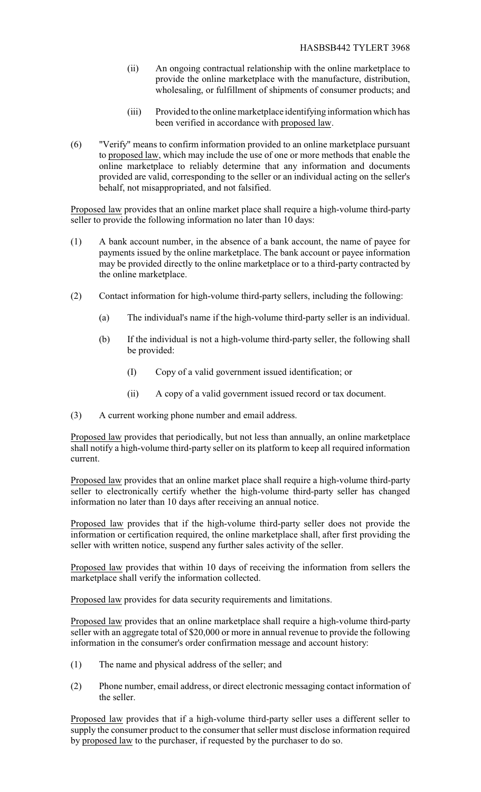- (ii) An ongoing contractual relationship with the online marketplace to provide the online marketplace with the manufacture, distribution, wholesaling, or fulfillment of shipments of consumer products; and
- (iii) Provided to the online marketplace identifying information which has been verified in accordance with proposed law.
- (6) "Verify" means to confirm information provided to an online marketplace pursuant to proposed law, which may include the use of one or more methods that enable the online marketplace to reliably determine that any information and documents provided are valid, corresponding to the seller or an individual acting on the seller's behalf, not misappropriated, and not falsified.

Proposed law provides that an online market place shall require a high-volume third-party seller to provide the following information no later than 10 days:

- (1) A bank account number, in the absence of a bank account, the name of payee for payments issued by the online marketplace. The bank account or payee information may be provided directly to the online marketplace or to a third-party contracted by the online marketplace.
- (2) Contact information for high-volume third-party sellers, including the following:
	- (a) The individual's name if the high-volume third-party seller is an individual.
	- (b) If the individual is not a high-volume third-party seller, the following shall be provided:
		- (I) Copy of a valid government issued identification; or
		- (ii) A copy of a valid government issued record or tax document.
- (3) A current working phone number and email address.

Proposed law provides that periodically, but not less than annually, an online marketplace shall notify a high-volume third-party seller on its platform to keep all required information current.

Proposed law provides that an online market place shall require a high-volume third-party seller to electronically certify whether the high-volume third-party seller has changed information no later than 10 days after receiving an annual notice.

Proposed law provides that if the high-volume third-party seller does not provide the information or certification required, the online marketplace shall, after first providing the seller with written notice, suspend any further sales activity of the seller.

Proposed law provides that within 10 days of receiving the information from sellers the marketplace shall verify the information collected.

Proposed law provides for data security requirements and limitations.

Proposed law provides that an online marketplace shall require a high-volume third-party seller with an aggregate total of \$20,000 or more in annual revenue to provide the following information in the consumer's order confirmation message and account history:

- (1) The name and physical address of the seller; and
- (2) Phone number, email address, or direct electronic messaging contact information of the seller.

Proposed law provides that if a high-volume third-party seller uses a different seller to supply the consumer product to the consumer that seller must disclose information required by proposed law to the purchaser, if requested by the purchaser to do so.